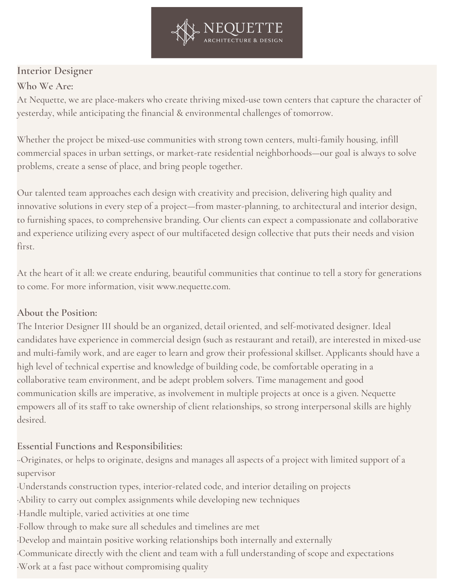

# **Interior Designer**

#### **Who We Are:**

At Nequette, we are place-makers who create thriving mixed-use town centers that capture the character of yesterday, while anticipating the financial & environmental challenges of tomorrow.

Whether the project be mixed-use communities with strong town centers, multi-family housing, infill commercial spaces in urban settings, or market-rate residential neighborhoods—our goal is always to solve problems, create a sense of place, and bring people together.

Our talented team approaches each design with creativity and precision, delivering high quality and innovative solutions in every step of a project—from master-planning, to architectural and interior design, to furnishing spaces, to comprehensive branding. Our clients can expect a compassionate and collaborative and experience utilizing every aspect of our multifaceted design collective that puts their needs and vision first.

At the heart of it all: we create enduring, beautiful communities that continue to tell a story for generations to come. For more information, visit [www.nequette.com.](http://www.nequette.com/)

## **About the Position:**

The Interior Designer III should be an organized, detail oriented, and self-motivated designer. Ideal candidates have experience in commercial design (such as restaurant and retail), are interested in mixed-use and multi-family work, and are eager to learn and grow their professional skillset. Applicants should have a high level of technical expertise and knowledge of building code, be comfortable operating in a collaborative team environment, and be adept problem solvers. Time management and good communication skills are imperative, as involvement in multiple projects at once is a given. Nequette empowers all of its staff to take ownership of client relationships, so strong interpersonal skills are highly desired.

## **Essential Functions and Responsibilities:**

··Originates, or helps to originate, designs and manages all aspects of a project with limited support of a supervisor

·Understands construction types, interior-related code, and interior detailing on projects

·Ability to carry out complex assignments while developing new techniques

- ·Handle multiple, varied activities at one time
- ·Follow through to make sure all schedules and timelines are met
- ·Develop and maintain positive working relationships both internally and externally

·Communicate directly with the client and team with a full understanding of scope and expectations

·Work at a fast pace without compromising quality